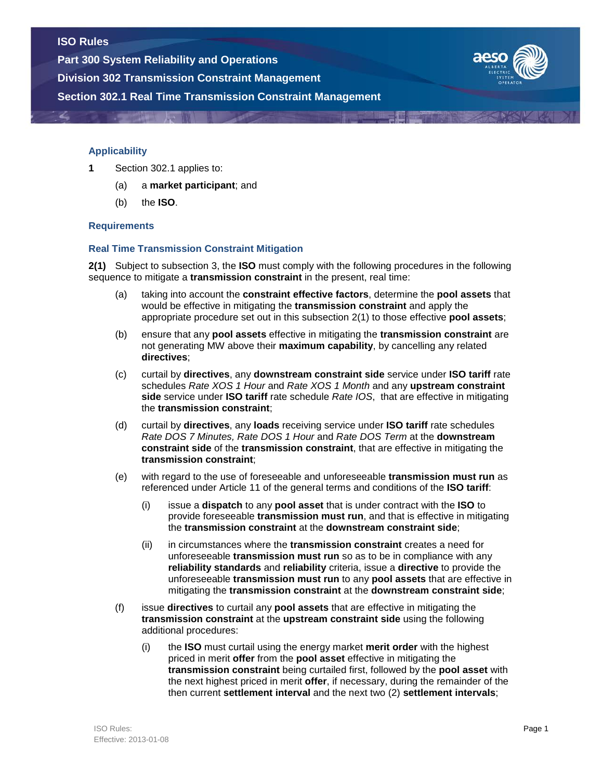**Part 300 System Reliability and Operations**

**Division 302 Transmission Constraint Management**

**Section 302.1 Real Time Transmission Constraint Management**



## **Applicability**

- **1** Section 302.1 applies to:
	- (a) a **market participant**; and
	- (b) the **ISO**.

### **Requirements**

#### **Real Time Transmission Constraint Mitigation**

**2(1)** Subject to subsection 3, the **ISO** must comply with the following procedures in the following sequence to mitigate a **transmission constraint** in the present, real time:

- (a) taking into account the **constraint effective factors**, determine the **pool assets** that would be effective in mitigating the **transmission constraint** and apply the appropriate procedure set out in this subsection 2(1) to those effective **pool assets**;
- (b) ensure that any **pool assets** effective in mitigating the **transmission constraint** are not generating MW above their **maximum capability**, by cancelling any related **directives**;
- (c) curtail by **directives**, any **downstream constraint side** service under **ISO tariff** rate schedules *Rate XOS 1 Hour* and *Rate XOS 1 Month* and any **upstream constraint side** service under **ISO tariff** rate schedule *Rate IOS*, that are effective in mitigating the **transmission constraint**;
- (d) curtail by **directives**, any **loads** receiving service under **ISO tariff** rate schedules *Rate DOS 7 Minutes, Rate DOS 1 Hour* and *Rate DOS Term* at the **downstream constraint side** of the **transmission constraint**, that are effective in mitigating the **transmission constraint**;
- (e) with regard to the use of foreseeable and unforeseeable **transmission must run** as referenced under Article 11 of the general terms and conditions of the **ISO tariff**:
	- (i) issue a **dispatch** to any **pool asset** that is under contract with the **ISO** to provide foreseeable **transmission must run**, and that is effective in mitigating the **transmission constraint** at the **downstream constraint side**;
	- (ii) in circumstances where the **transmission constraint** creates a need for unforeseeable **transmission must run** so as to be in compliance with any **reliability standards** and **reliability** criteria, issue a **directive** to provide the unforeseeable **transmission must run** to any **pool assets** that are effective in mitigating the **transmission constraint** at the **downstream constraint side**;
- (f) issue **directives** to curtail any **pool assets** that are effective in mitigating the **transmission constraint** at the **upstream constraint side** using the following additional procedures:
	- (i) the **ISO** must curtail using the energy market **merit order** with the highest priced in merit **offer** from the **pool asset** effective in mitigating the **transmission constraint** being curtailed first, followed by the **pool asset** with the next highest priced in merit **offer**, if necessary, during the remainder of the then current **settlement interval** and the next two (2) **settlement intervals**;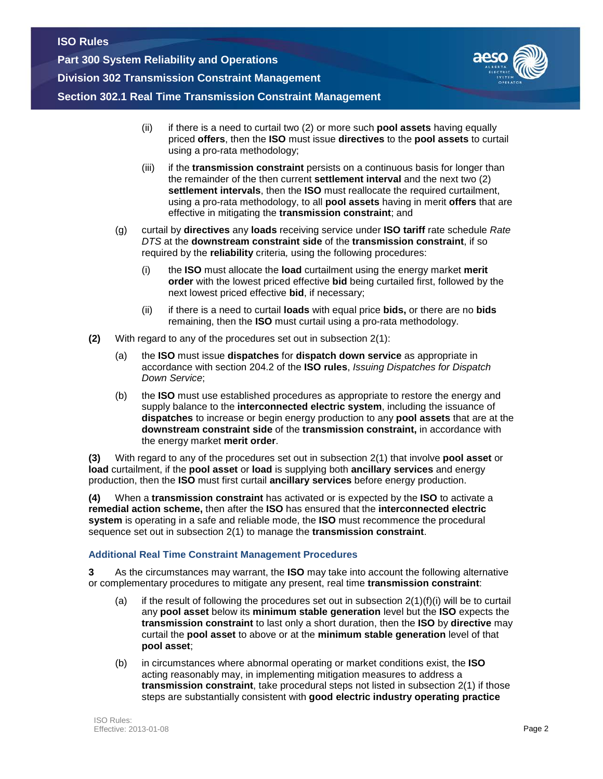**Part 300 System Reliability and Operations Division 302 Transmission Constraint Management Section 302.1 Real Time Transmission Constraint Management**



- (ii) if there is a need to curtail two (2) or more such **pool assets** having equally priced **offers**, then the **ISO** must issue **directives** to the **pool assets** to curtail using a pro-rata methodology;
- (iii) if the **transmission constraint** persists on a continuous basis for longer than the remainder of the then current **settlement interval** and the next two (2) **settlement intervals**, then the **ISO** must reallocate the required curtailment, using a pro-rata methodology, to all **pool assets** having in merit **offers** that are effective in mitigating the **transmission constraint**; and
- (g) curtail by **directives** any **loads** receiving service under **ISO tariff** rate schedule *Rate DTS* at the **downstream constraint side** of the **transmission constraint**, if so required by the **reliability** criteria*,* using the following procedures:
	- (i) the **ISO** must allocate the **load** curtailment using the energy market **merit order** with the lowest priced effective **bid** being curtailed first, followed by the next lowest priced effective **bid**, if necessary;
	- (ii) if there is a need to curtail **loads** with equal price **bids,** or there are no **bids** remaining, then the **ISO** must curtail using a pro-rata methodology.
- **(2)** With regard to any of the procedures set out in subsection 2(1):
	- (a) the **ISO** must issue **dispatches** for **dispatch down service** as appropriate in accordance with section 204.2 of the **ISO rules**, *Issuing Dispatches for Dispatch Down Service*;
	- (b) the **ISO** must use established procedures as appropriate to restore the energy and supply balance to the **interconnected electric system**, including the issuance of **dispatches** to increase or begin energy production to any **pool assets** that are at the **downstream constraint side** of the **transmission constraint,** in accordance with the energy market **merit order**.

**(3)** With regard to any of the procedures set out in subsection 2(1) that involve **pool asset** or **load** curtailment, if the **pool asset** or **load** is supplying both **ancillary services** and energy production, then the **ISO** must first curtail **ancillary services** before energy production.

**(4)** When a **transmission constraint** has activated or is expected by the **ISO** to activate a **remedial action scheme,** then after the **ISO** has ensured that the **interconnected electric system** is operating in a safe and reliable mode, the **ISO** must recommence the procedural sequence set out in subsection 2(1) to manage the **transmission constraint**.

# **Additional Real Time Constraint Management Procedures**

**3** As the circumstances may warrant, the **ISO** may take into account the following alternative or complementary procedures to mitigate any present, real time **transmission constraint**:

- (a) if the result of following the procedures set out in subsection  $2(1)(f)(i)$  will be to curtail any **pool asset** below its **minimum stable generation** level but the **ISO** expects the **transmission constraint** to last only a short duration, then the **ISO** by **directive** may curtail the **pool asset** to above or at the **minimum stable generation** level of that **pool asset**;
- (b) in circumstances where abnormal operating or market conditions exist, the **ISO** acting reasonably may, in implementing mitigation measures to address a **transmission constraint**, take procedural steps not listed in subsection 2(1) if those steps are substantially consistent with **good electric industry operating practice**